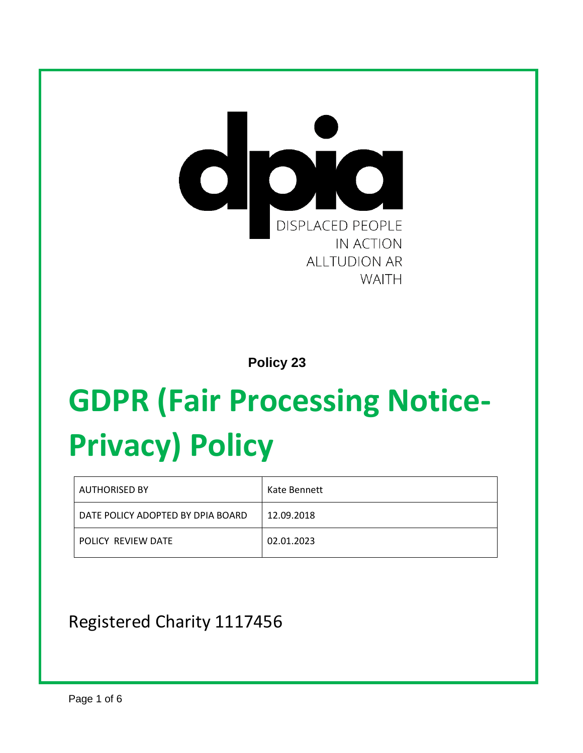

 **Policy 23**

# **GDPR (Fair Processing Notice-Privacy) Policy**

| <b>AUTHORISED BY</b>              | Kate Bennett |
|-----------------------------------|--------------|
| DATE POLICY ADOPTED BY DPIA BOARD | 12.09.2018   |
| POLICY REVIEW DATE                | 02.01.2023   |

## Registered Charity 1117456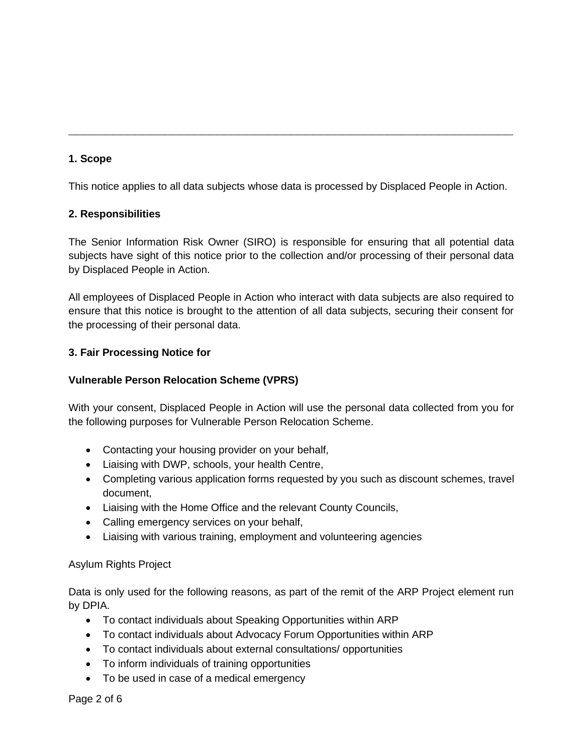#### **1. Scope**

This notice applies to all data subjects whose data is processed by Displaced People in Action.

**\_\_\_\_\_\_\_\_\_\_\_\_\_\_\_\_\_\_\_\_\_\_\_\_\_\_\_\_\_\_\_\_\_\_\_\_\_\_\_\_\_\_\_\_\_\_\_\_\_\_\_\_\_\_\_\_\_\_\_\_**

#### **2. Responsibilities**

The Senior Information Risk Owner (SIRO) is responsible for ensuring that all potential data subjects have sight of this notice prior to the collection and/or processing of their personal data by Displaced People in Action.

All employees of Displaced People in Action who interact with data subjects are also required to ensure that this notice is brought to the attention of all data subjects, securing their consent for the processing of their personal data.

#### **3. Fair Processing Notice for**

#### **Vulnerable Person Relocation Scheme (VPRS)**

With your consent, Displaced People in Action will use the personal data collected from you for the following purposes for Vulnerable Person Relocation Scheme.

- Contacting your housing provider on your behalf,
- Liaising with DWP, schools, your health Centre,
- Completing various application forms requested by you such as discount schemes, travel document,
- Liaising with the Home Office and the relevant County Councils,
- Calling emergency services on your behalf,
- Liaising with various training, employment and volunteering agencies

#### Asylum Rights Project

Data is only used for the following reasons, as part of the remit of the ARP Project element run by DPIA.

- To contact individuals about Speaking Opportunities within ARP
- To contact individuals about Advocacy Forum Opportunities within ARP
- To contact individuals about external consultations/ opportunities
- To inform individuals of training opportunities
- To be used in case of a medical emergency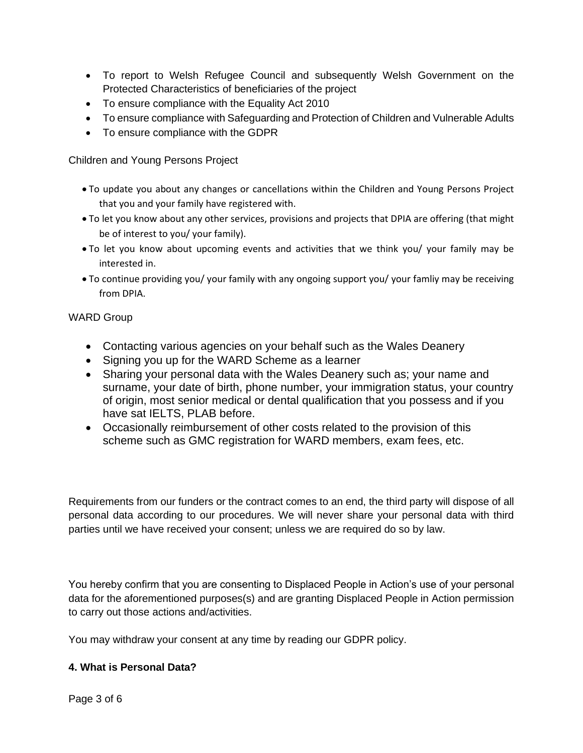- To report to Welsh Refugee Council and subsequently Welsh Government on the Protected Characteristics of beneficiaries of the project
- To ensure compliance with the Equality Act 2010
- To ensure compliance with Safeguarding and Protection of Children and Vulnerable Adults
- To ensure compliance with the GDPR

Children and Young Persons Project

- To update you about any changes or cancellations within the Children and Young Persons Project that you and your family have registered with.
- To let you know about any other services, provisions and projects that DPIA are offering (that might be of interest to you/ your family).
- To let you know about upcoming events and activities that we think you/ your family may be interested in.
- To continue providing you/ your family with any ongoing support you/ your famliy may be receiving from DPIA.

#### WARD Group

- Contacting various agencies on your behalf such as the Wales Deanery
- Signing you up for the WARD Scheme as a learner
- Sharing your personal data with the Wales Deanery such as; your name and surname, your date of birth, phone number, your immigration status, your country of origin, most senior medical or dental qualification that you possess and if you have sat IELTS, PLAB before.
- Occasionally reimbursement of other costs related to the provision of this scheme such as GMC registration for WARD members, exam fees, etc.

Requirements from our funders or the contract comes to an end, the third party will dispose of all personal data according to our procedures. We will never share your personal data with third parties until we have received your consent; unless we are required do so by law.

You hereby confirm that you are consenting to Displaced People in Action's use of your personal data for the aforementioned purposes(s) and are granting Displaced People in Action permission to carry out those actions and/activities.

You may withdraw your consent at any time by reading our GDPR policy.

#### **4. What is Personal Data?**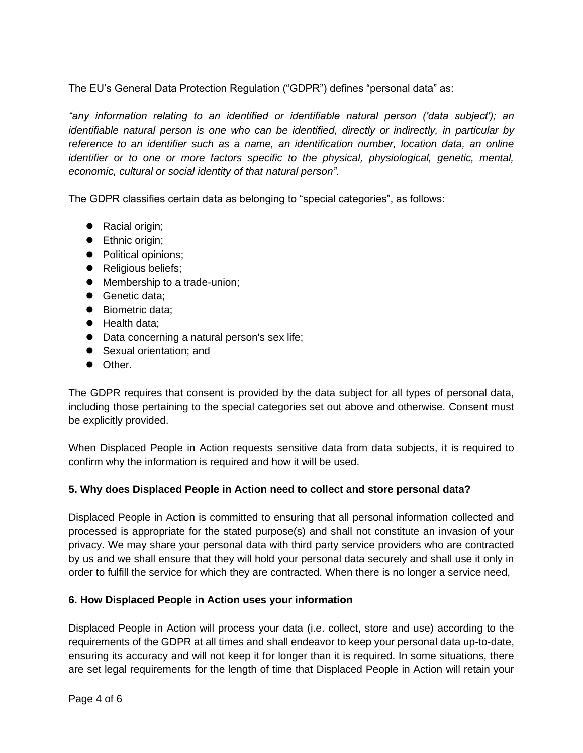The EU's General Data Protection Regulation ("GDPR") defines "personal data" as:

*"any information relating to an identified or identifiable natural person ('data subject'); an identifiable natural person is one who can be identified, directly or indirectly, in particular by reference to an identifier such as a name, an identification number, location data, an online identifier or to one or more factors specific to the physical, physiological, genetic, mental, economic, cultural or social identity of that natural person".*

The GDPR classifies certain data as belonging to "special categories", as follows:

- Racial origin;
- Ethnic origin;
- Political opinions;
- Religious beliefs;
- Membership to a trade-union;
- Genetic data:
- Biometric data;
- Health data:
- Data concerning a natural person's sex life;
- Sexual orientation; and
- Other.

The GDPR requires that consent is provided by the data subject for all types of personal data, including those pertaining to the special categories set out above and otherwise. Consent must be explicitly provided.

When Displaced People in Action requests sensitive data from data subjects, it is required to confirm why the information is required and how it will be used.

#### **5. Why does Displaced People in Action need to collect and store personal data?**

Displaced People in Action is committed to ensuring that all personal information collected and processed is appropriate for the stated purpose(s) and shall not constitute an invasion of your privacy. We may share your personal data with third party service providers who are contracted by us and we shall ensure that they will hold your personal data securely and shall use it only in order to fulfill the service for which they are contracted. When there is no longer a service need,

#### **6. How Displaced People in Action uses your information**

Displaced People in Action will process your data (i.e. collect, store and use) according to the requirements of the GDPR at all times and shall endeavor to keep your personal data up-to-date, ensuring its accuracy and will not keep it for longer than it is required. In some situations, there are set legal requirements for the length of time that Displaced People in Action will retain your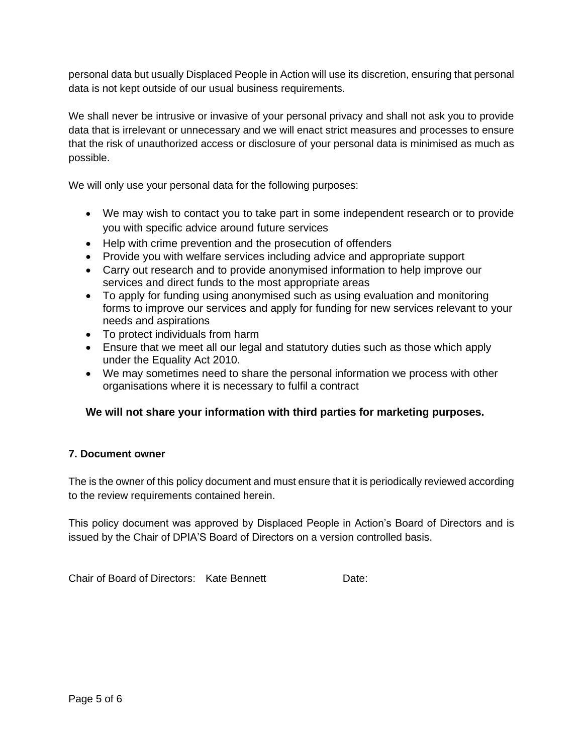personal data but usually Displaced People in Action will use its discretion, ensuring that personal data is not kept outside of our usual business requirements.

We shall never be intrusive or invasive of your personal privacy and shall not ask you to provide data that is irrelevant or unnecessary and we will enact strict measures and processes to ensure that the risk of unauthorized access or disclosure of your personal data is minimised as much as possible.

We will only use your personal data for the following purposes:

- We may wish to contact you to take part in some independent research or to provide you with specific advice around future services
- Help with crime prevention and the prosecution of offenders
- Provide you with welfare services including advice and appropriate support
- Carry out research and to provide anonymised information to help improve our services and direct funds to the most appropriate areas
- To apply for funding using anonymised such as using evaluation and monitoring forms to improve our services and apply for funding for new services relevant to your needs and aspirations
- To protect individuals from harm
- Ensure that we meet all our legal and statutory duties such as those which apply under the Equality Act 2010.
- We may sometimes need to share the personal information we process with other organisations where it is necessary to fulfil a contract

#### **We will not share your information with third parties for marketing purposes.**

#### **7. Document owner**

The is the owner of this policy document and must ensure that it is periodically reviewed according to the review requirements contained herein.

This policy document was approved by Displaced People in Action's Board of Directors and is issued by the Chair of DPIA'S Board of Directors on a version controlled basis.

Chair of Board of Directors: Kate Bennett Date: